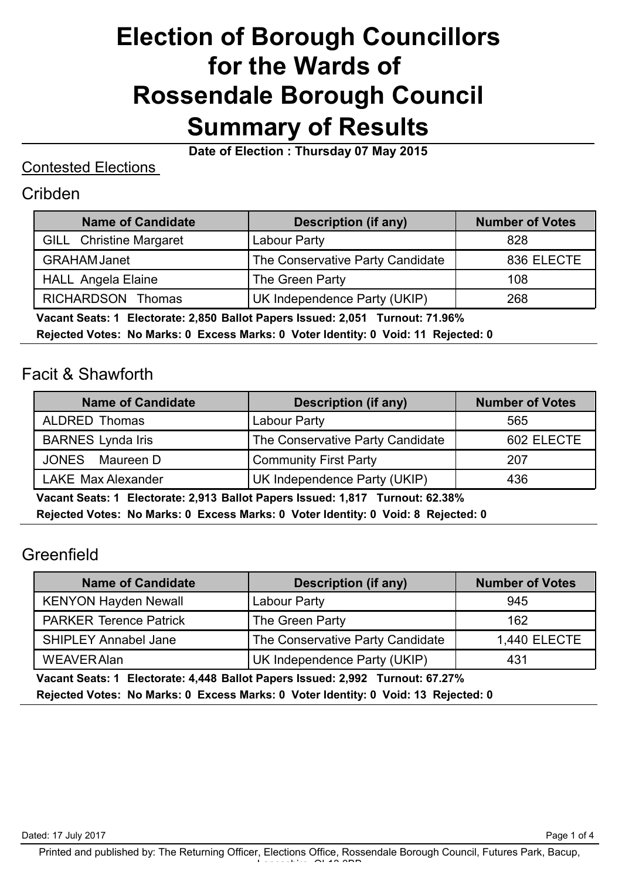# **Election of Borough Councillors for the Wards of Rossendale Borough Council Summary of Results**

**Date of Election : Thursday 07 May 2015**

#### Contested Elections

#### Cribden

| <b>Description (if any)</b>      | <b>Number of Votes</b> |
|----------------------------------|------------------------|
| Labour Party                     | 828                    |
| The Conservative Party Candidate | 836 ELECTE             |
| The Green Party                  | 108                    |
| UK Independence Party (UKIP)     | 268                    |
|                                  |                        |

 **Vacant Seats: 1 Electorate: 2,850 Ballot Papers Issued: 2,051 Turnout: 71.96%**

**Rejected Votes: No Marks: 0 Excess Marks: 0 Voter Identity: 0 Void: 11 Rejected: 0**

#### Facit & Shawforth

| <b>Name of Candidate</b>  | <b>Description (if any)</b>      | <b>Number of Votes</b> |
|---------------------------|----------------------------------|------------------------|
| ALDRED Thomas             | Labour Party                     | 565                    |
| <b>BARNES</b> Lynda Iris  | The Conservative Party Candidate | 602 ELECTE             |
| <b>JONES</b><br>Maureen D | <b>Community First Party</b>     | 207                    |
| <b>LAKE Max Alexander</b> | UK Independence Party (UKIP)     | 436                    |

 **Vacant Seats: 1 Electorate: 2,913 Ballot Papers Issued: 1,817 Turnout: 62.38% Rejected Votes: No Marks: 0 Excess Marks: 0 Voter Identity: 0 Void: 8 Rejected: 0**

## Greenfield

| <b>Name of Candidate</b>      | <b>Description (if any)</b>      | <b>Number of Votes</b> |
|-------------------------------|----------------------------------|------------------------|
| <b>KENYON Hayden Newall</b>   | Labour Party                     | 945                    |
| <b>PARKER Terence Patrick</b> | The Green Party                  | 162                    |
| <b>SHIPLEY Annabel Jane</b>   | The Conservative Party Candidate | <b>1,440 ELECTE</b>    |
| <b>WEAVER Alan</b>            | UK Independence Party (UKIP)     | 431                    |

 **Vacant Seats: 1 Electorate: 4,448 Ballot Papers Issued: 2,992 Turnout: 67.27% Rejected Votes: No Marks: 0 Excess Marks: 0 Voter Identity: 0 Void: 13 Rejected: 0**

Page 1 of 4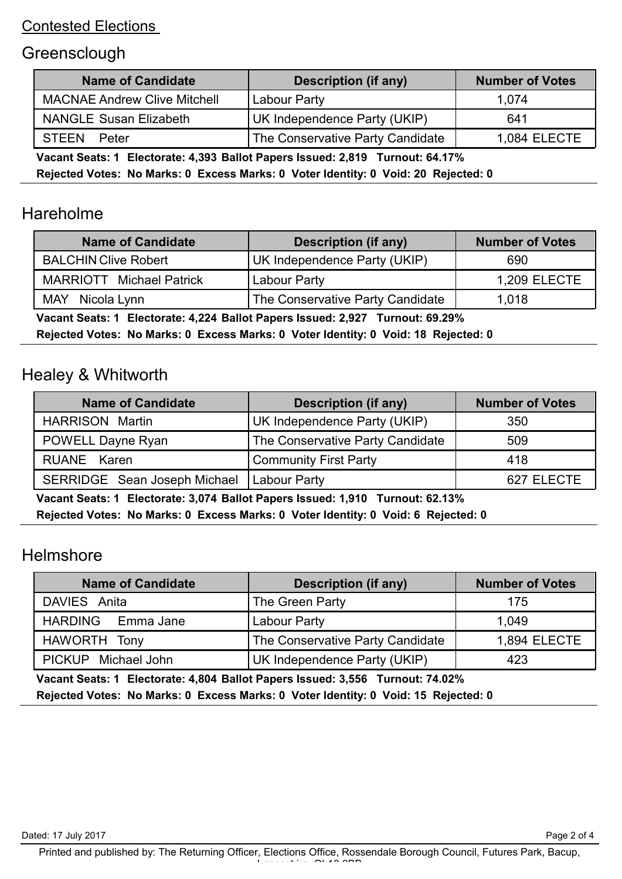#### Contested Elections

## **Greensclough**

| <b>Name of Candidate</b>                                                          | <b>Description (if any)</b>      | <b>Number of Votes</b> |
|-----------------------------------------------------------------------------------|----------------------------------|------------------------|
| <b>MACNAE Andrew Clive Mitchell</b>                                               | Labour Party                     | 1.074                  |
| <b>NANGLE Susan Elizabeth</b>                                                     | UK Independence Party (UKIP)     | 641                    |
| <b>STEEN</b><br>Peter                                                             | The Conservative Party Candidate | 1,084 ELECTE           |
| Vecent Caster 4. Electerater 4.202. Pollet Denore Issued: 2.040. Turnsut: C4.470/ |                                  |                        |

 **Vacant Seats: 1 Electorate: 4,393 Ballot Papers Issued: 2,819 Turnout: 64.17%**

**Rejected Votes: No Marks: 0 Excess Marks: 0 Voter Identity: 0 Void: 20 Rejected: 0**

# Hareholme

| <b>Name of Candidate</b>                                                                                    | <b>Description (if any)</b>      | <b>Number of Votes</b> |
|-------------------------------------------------------------------------------------------------------------|----------------------------------|------------------------|
| <b>BALCHIN Clive Robert</b>                                                                                 | UK Independence Party (UKIP)     | 690                    |
| <b>MARRIOTT</b> Michael Patrick                                                                             | Labour Party                     | <b>1,209 ELECTE</b>    |
| <b>MAY</b><br>Nicola Lynn                                                                                   | The Conservative Party Candidate | 1,018                  |
| $\mathbf{M}$ , and $\mathbf{F}$ , and $\mathbf{F}$ , and $\mathbf{F}$ , and $\mathbf{F}$ , and $\mathbf{F}$ |                                  |                        |

 **Vacant Seats: 1 Electorate: 4,224 Ballot Papers Issued: 2,927 Turnout: 69.29%**

**Rejected Votes: No Marks: 0 Excess Marks: 0 Voter Identity: 0 Void: 18 Rejected: 0**

### Healey & Whitworth

| <b>Name of Candidate</b>     | <b>Description (if any)</b>      | <b>Number of Votes</b> |
|------------------------------|----------------------------------|------------------------|
| <b>HARRISON Martin</b>       | UK Independence Party (UKIP)     | 350                    |
| <b>POWELL Dayne Ryan</b>     | The Conservative Party Candidate | 509                    |
| RUANE Karen                  | <b>Community First Party</b>     | 418                    |
| SERRIDGE Sean Joseph Michael | <b>Labour Party</b>              | 627 ELECTE             |

 **Vacant Seats: 1 Electorate: 3,074 Ballot Papers Issued: 1,910 Turnout: 62.13%**

**Rejected Votes: No Marks: 0 Excess Marks: 0 Voter Identity: 0 Void: 6 Rejected: 0**

### **Helmshore**

| <b>Name of Candidate</b> | <b>Description (if any)</b>      | <b>Number of Votes</b> |
|--------------------------|----------------------------------|------------------------|
| DAVIES Anita             | The Green Party                  | 175                    |
| HARDING Emma Jane        | Labour Party                     | 1.049                  |
| HAWORTH Tony             | The Conservative Party Candidate | 1,894 ELECTE           |
| PICKUP Michael John      | UK Independence Party (UKIP)     | 423                    |

 **Vacant Seats: 1 Electorate: 4,804 Ballot Papers Issued: 3,556 Turnout: 74.02% Rejected Votes: No Marks: 0 Excess Marks: 0 Voter Identity: 0 Void: 15 Rejected: 0**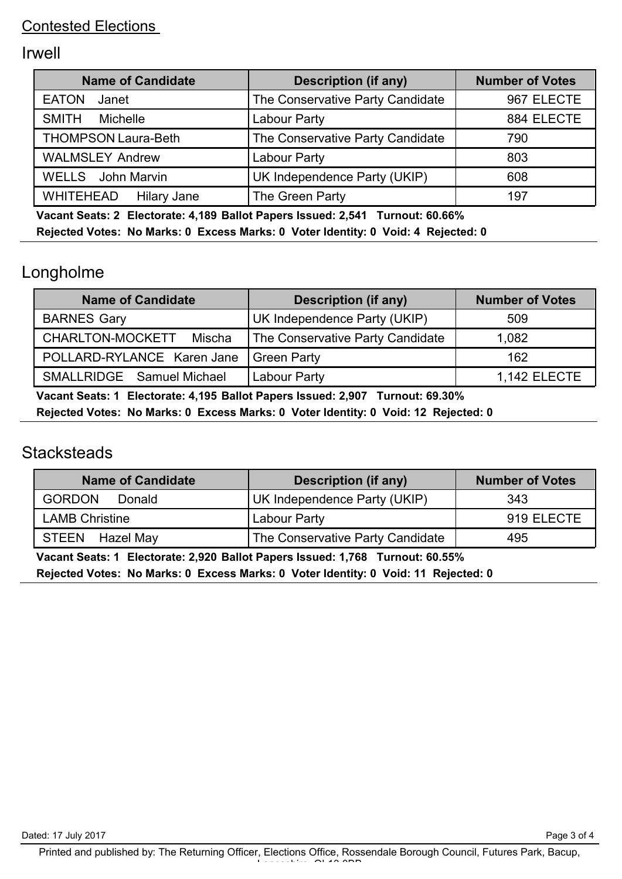## Irwell

| <b>Name of Candidate</b>               | <b>Description (if any)</b>      | <b>Number of Votes</b> |
|----------------------------------------|----------------------------------|------------------------|
| <b>EATON</b><br>Janet                  | The Conservative Party Candidate | 967 ELECTE             |
| <b>SMITH</b><br>Michelle               | Labour Party                     | 884 ELECTE             |
| <b>THOMPSON Laura-Beth</b>             | The Conservative Party Candidate | 790                    |
| <b>WALMSLEY Andrew</b>                 | <b>Labour Party</b>              | 803                    |
| <b>WELLS</b> John Marvin               | UK Independence Party (UKIP)     | 608                    |
| <b>WHITEHEAD</b><br><b>Hilary Jane</b> | The Green Party                  | 197                    |

 **Vacant Seats: 2 Electorate: 4,189 Ballot Papers Issued: 2,541 Turnout: 60.66%**

**Rejected Votes: No Marks: 0 Excess Marks: 0 Voter Identity: 0 Void: 4 Rejected: 0**

# Longholme

| <b>Name of Candidate</b>   | <b>Description (if any)</b>      | <b>Number of Votes</b> |
|----------------------------|----------------------------------|------------------------|
| <b>BARNES Gary</b>         | UK Independence Party (UKIP)     | 509                    |
| CHARLTON-MOCKETT<br>Mischa | The Conservative Party Candidate | 1,082                  |
| POLLARD-RYLANCE Karen Jane | <b>Green Party</b>               | 162                    |
| SMALLRIDGE Samuel Michael  | Labour Party                     | <b>1,142 ELECTE</b>    |

 **Vacant Seats: 1 Electorate: 4,195 Ballot Papers Issued: 2,907 Turnout: 69.30% Rejected Votes: No Marks: 0 Excess Marks: 0 Voter Identity: 0 Void: 12 Rejected: 0**

#### **Stacksteads**

| <b>Name of Candidate</b> | <b>Description (if any)</b>      | <b>Number of Votes</b> |
|--------------------------|----------------------------------|------------------------|
| <b>GORDON</b><br>Donald  | UK Independence Party (UKIP)     | 343                    |
| <b>LAMB Christine</b>    | Labour Party                     | 919 ELECTE             |
| STEEN Hazel May          | The Conservative Party Candidate | 495                    |

 **Vacant Seats: 1 Electorate: 2,920 Ballot Papers Issued: 1,768 Turnout: 60.55%**

**Rejected Votes: No Marks: 0 Excess Marks: 0 Voter Identity: 0 Void: 11 Rejected: 0**